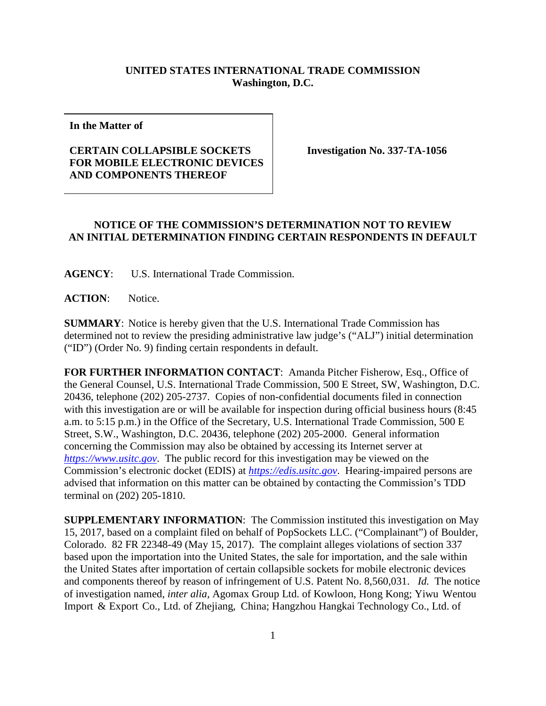## **UNITED STATES INTERNATIONAL TRADE COMMISSION Washington, D.C.**

**In the Matter of**

## **CERTAIN COLLAPSIBLE SOCKETS FOR MOBILE ELECTRONIC DEVICES AND COMPONENTS THEREOF**

**Investigation No. 337-TA-1056**

## **NOTICE OF THE COMMISSION'S DETERMINATION NOT TO REVIEW AN INITIAL DETERMINATION FINDING CERTAIN RESPONDENTS IN DEFAULT**

**AGENCY**: U.S. International Trade Commission.

**ACTION**: Notice.

**SUMMARY**: Notice is hereby given that the U.S. International Trade Commission has determined not to review the presiding administrative law judge's ("ALJ") initial determination ("ID") (Order No. 9) finding certain respondents in default.

**FOR FURTHER INFORMATION CONTACT**: Amanda Pitcher Fisherow, Esq., Office of the General Counsel, U.S. International Trade Commission, 500 E Street, SW, Washington, D.C. 20436, telephone (202) 205-2737. Copies of non-confidential documents filed in connection with this investigation are or will be available for inspection during official business hours (8:45 a.m. to 5:15 p.m.) in the Office of the Secretary, U.S. International Trade Commission, 500 E Street, S.W., Washington, D.C. 20436, telephone (202) 205-2000. General information concerning the Commission may also be obtained by accessing its Internet server at *[https://www.usitc.gov](https://www.usitc.gov/)*. The public record for this investigation may be viewed on the Commission's electronic docket (EDIS) at *[https://edis.usitc.gov](https://edis.usitc.gov/)*. Hearing-impaired persons are advised that information on this matter can be obtained by contacting the Commission's TDD terminal on (202) 205-1810.

**SUPPLEMENTARY INFORMATION**: The Commission instituted this investigation on May 15, 2017, based on a complaint filed on behalf of PopSockets LLC. ("Complainant") of Boulder, Colorado. 82 FR 22348-49 (May 15, 2017). The complaint alleges violations of section 337 based upon the importation into the United States, the sale for importation, and the sale within the United States after importation of certain collapsible sockets for mobile electronic devices and components thereof by reason of infringement of U.S. Patent No. 8,560,031. *Id.* The notice of investigation named, *inter alia,* Agomax Group Ltd. of Kowloon, Hong Kong; Yiwu Wentou Import & Export Co., Ltd. of Zhejiang, China; Hangzhou Hangkai Technology Co., Ltd. of